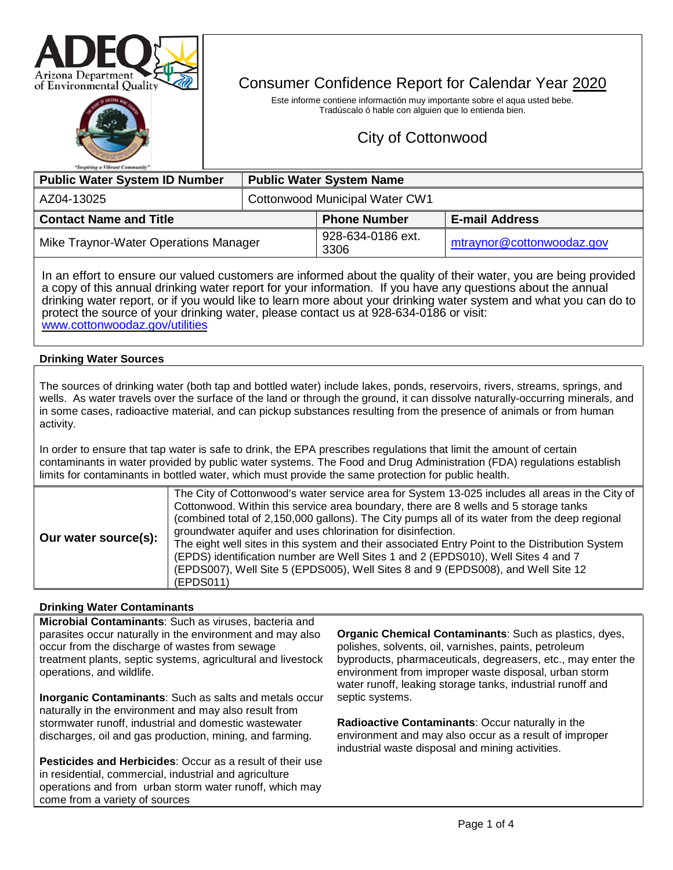



# Consumer Confidence Report for Calendar Year 2020

Este informe contiene informactión muy importante sobre el aqua usted bebe. Tradúscalo ó hable con alguien que lo entienda bien.

# City of Cottonwood

| <b>Public Water System ID Number</b>  |                                | <b>Public Water System Name</b> |                           |  |  |
|---------------------------------------|--------------------------------|---------------------------------|---------------------------|--|--|
| AZ04-13025                            | Cottonwood Municipal Water CW1 |                                 |                           |  |  |
| <b>Contact Name and Title</b>         |                                | <b>Phone Number</b>             | <b>E-mail Address</b>     |  |  |
| Mike Traynor-Water Operations Manager |                                | 928-634-0186 ext.<br>3306       | mtraynor@cottonwoodaz.gov |  |  |

In an effort to ensure our valued customers are informed about the quality of their water, you are being provided a copy of this annual drinking water report for your information. If you have any questions about the annual drinking water report, or if you would like to learn more about your drinking water sy[stem and what you can do to](http://www.cottonwoodaz.gov/utilities)  protect the source of your drinking water, please contact us at 928-634-0186 or visit: [www.cottonwoodaz.gov/utilities](http://www.cottonwoodaz.gov/utilities)

## **Drinking Water Sources**

The sources of drinking water (both tap and bottled water) include lakes, ponds, reservoirs, rivers, streams, springs, and wells. As water travels over the surface of the land or through the ground, it can dissolve naturally-occurring minerals, and in some cases, radioactive material, and can pickup substances resulting from the presence of animals or from human activity.

In order to ensure that tap water is safe to drink, the EPA prescribes regulations that limit the amount of certain contaminants in water provided by public water systems. The Food and Drug Administration (FDA) regulations establish limits for contaminants in bottled water, which must provide the same protection for public health.

|                      | The City of Cottonwood's water service area for System 13-025 includes all areas in the City of<br>Cottonwood. Within this service area boundary, there are 8 wells and 5 storage tanks |
|----------------------|-----------------------------------------------------------------------------------------------------------------------------------------------------------------------------------------|
| Our water source(s): | (combined total of 2,150,000 gallons). The City pumps all of its water from the deep regional<br>groundwater aquifer and uses chlorination for disinfection.                            |
|                      | The eight well sites in this system and their associated Entry Point to the Distribution System<br>(EPDS) identification number are Well Sites 1 and 2 (EPDS010), Well Sites 4 and 7    |
|                      | (EPDS007), Well Site 5 (EPDS005), Well Sites 8 and 9 (EPDS008), and Well Site 12<br>(EPDS011)                                                                                           |

#### **Drinking Water Contaminants**

**Microbial Contaminants**: Such as viruses, bacteria and parasites occur naturally in the environment and may also occur from the discharge of wastes from sewage treatment plants, septic systems, agricultural and livestock operations, and wildlife.

**Inorganic Contaminants**: Such as salts and metals occur naturally in the environment and may also result from stormwater runoff, industrial and domestic wastewater discharges, oil and gas production, mining, and farming.

**Pesticides and Herbicides**: Occur as a result of their use in residential, commercial, industrial and agriculture operations and from urban storm water runoff, which may come from a variety of sources

**Organic Chemical Contaminants**: Such as plastics, dyes, polishes, solvents, oil, varnishes, paints, petroleum byproducts, pharmaceuticals, degreasers, etc., may enter the environment from improper waste disposal, urban storm water runoff, leaking storage tanks, industrial runoff and septic systems.

**Radioactive Contaminants**: Occur naturally in the environment and may also occur as a result of improper industrial waste disposal and mining activities.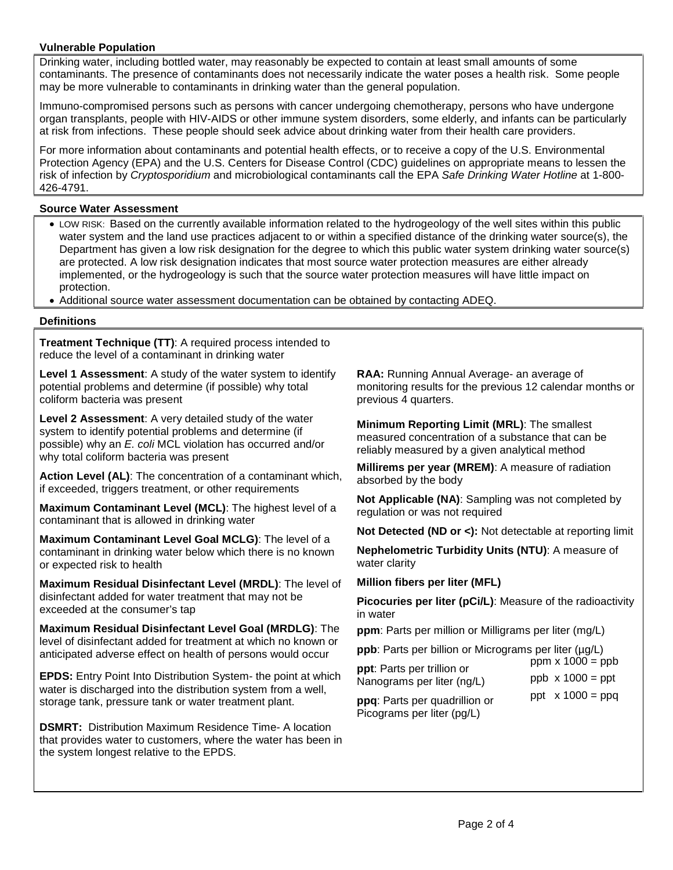## **Vulnerable Population**

Drinking water, including bottled water, may reasonably be expected to contain at least small amounts of some contaminants. The presence of contaminants does not necessarily indicate the water poses a health risk. Some people may be more vulnerable to contaminants in drinking water than the general population.

Immuno-compromised persons such as persons with cancer undergoing chemotherapy, persons who have undergone organ transplants, people with HIV-AIDS or other immune system disorders, some elderly, and infants can be particularly at risk from infections. These people should seek advice about drinking water from their health care providers.

For more information about contaminants and potential health effects, or to receive a copy of the U.S. Environmental Protection Agency (EPA) and the U.S. Centers for Disease Control (CDC) guidelines on appropriate means to lessen the risk of infection by *Cryptosporidium* and microbiological contaminants call the EPA *Safe Drinking Water Hotline* at 1-800- 426-4791.

#### **Source Water Assessment**

- LOW RISK: Based on the currently available information related to the hydrogeology of the well sites within this public water system and the land use practices adjacent to or within a specified distance of the drinking water source(s), the Department has given a low risk designation for the degree to which this public water system drinking water source(s) are protected. A low risk designation indicates that most source water protection measures are either already implemented, or the hydrogeology is such that the source water protection measures will have little impact on protection.
- Additional source water assessment documentation can be obtained by contacting ADEQ.

#### **Definitions**

**Treatment Technique (TT)**: A required process intended to reduce the level of a contaminant in drinking water

**Level 1 Assessment**: A study of the water system to identify potential problems and determine (if possible) why total coliform bacteria was present

**Level 2 Assessment**: A very detailed study of the water system to identify potential problems and determine (if possible) why an *E. coli* MCL violation has occurred and/or why total coliform bacteria was present

**Action Level (AL)**: The concentration of a contaminant which, if exceeded, triggers treatment, or other requirements

**Maximum Contaminant Level (MCL)**: The highest level of a contaminant that is allowed in drinking water

**Maximum Contaminant Level Goal MCLG)**: The level of a contaminant in drinking water below which there is no known or expected risk to health

**Maximum Residual Disinfectant Level (MRDL)**: The level of disinfectant added for water treatment that may not be exceeded at the consumer's tap

**Maximum Residual Disinfectant Level Goal (MRDLG)**: The level of disinfectant added for treatment at which no known or anticipated adverse effect on health of persons would occur

**EPDS:** Entry Point Into Distribution System- the point at which water is discharged into the distribution system from a well, storage tank, pressure tank or water treatment plant.

**DSMRT:** Distribution Maximum Residence Time- A location that provides water to customers, where the water has been in the system longest relative to the EPDS.

**RAA:** Running Annual Average- an average of monitoring results for the previous 12 calendar months or previous 4 quarters.

**Minimum Reporting Limit (MRL)**: The smallest measured concentration of a substance that can be reliably measured by a given analytical method

**Millirems per year (MREM)**: A measure of radiation absorbed by the body

**Not Applicable (NA)**: Sampling was not completed by regulation or was not required

**Not Detected (ND or <):** Not detectable at reporting limit

**Nephelometric Turbidity Units (NTU)**: A measure of water clarity

#### **Million fibers per liter (MFL)**

**Picocuries per liter (pCi/L)**: Measure of the radioactivity in water

**ppm**: Parts per million or Milligrams per liter (mg/L)

**ppb**: Parts per billion or Micrograms per liter (µg/L)

| <b>ppp.</b> Parts per billion or Micrograms per liter (µg/L) |                         |
|--------------------------------------------------------------|-------------------------|
| ppt: Parts per trillion or                                   | ppm $x 1000 =$ ppb      |
| Nanograms per liter (ng/L)                                   | $ppb \times 1000 = ppt$ |

**ppq**: Parts per quadrillion or Picograms per liter (pg/L)

ppt  $x 1000 = ppq$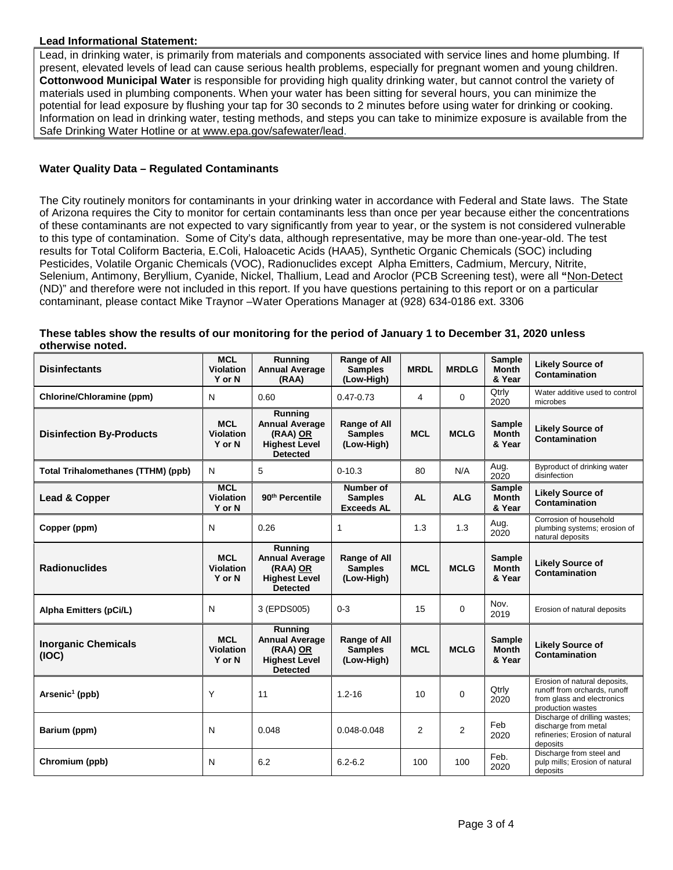## **Lead Informational Statement:**

Lead, in drinking water, is primarily from materials and components associated with service lines and home plumbing. If present, elevated levels of lead can cause serious health problems, especially for pregnant women and young children. **Cottonwood Municipal Water** is responsible for providing high quality drinking water, but cannot control the variety of materials used in plumbing components. When your water has been sitting for several hours, you can minimize the potential for lead exposure by flushing your tap for 30 seconds to 2 minutes before using water for drinking or cooking. Information on lead in drinking water, testing methods, and steps you can take to minimize exposure is available from the Safe Drinking Water Hotline or at [www.epa.gov/safewater/lead.](http://www.epa.gov/safewater/lead)

## **Water Quality Data – Regulated Contaminants**

The City routinely monitors for contaminants in your drinking water in accordance with Federal and State laws. The State of Arizona requires the City to monitor for certain contaminants less than once per year because either the concentrations of these contaminants are not expected to vary significantly from year to year, or the system is not considered vulnerable to this type of contamination. Some of City's data, although representative, may be more than one-year-old. The test results for Total Coliform Bacteria, E.Coli, Haloacetic Acids (HAA5), Synthetic Organic Chemicals (SOC) including Pesticides, Volatile Organic Chemicals (VOC), Radionuclides except Alpha Emitters, Cadmium, Mercury, Nitrite, Selenium, Antimony, Beryllium, Cyanide, Nickel, Thallium, Lead and Aroclor (PCB Screening test), were all **"**Non-Detect (ND)" and therefore were not included in this report. If you have questions pertaining to this report or on a particular contaminant, please contact Mike Traynor –Water Operations Manager at (928) 634-0186 ext. 3306

#### **These tables show the results of our monitoring for the period of January 1 to December 31, 2020 unless otherwise noted.**

| <b>Disinfectants</b>                      | <b>MCL</b><br><b>Violation</b><br>Y or N | Running<br><b>Annual Average</b><br>(RAA)                                               | Range of All<br><b>Samples</b><br>(Low-High)        | <b>MRDL</b> | <b>MRDLG</b> | <b>Sample</b><br><b>Month</b><br>& Year | <b>Likely Source of</b><br>Contamination                                                                        |
|-------------------------------------------|------------------------------------------|-----------------------------------------------------------------------------------------|-----------------------------------------------------|-------------|--------------|-----------------------------------------|-----------------------------------------------------------------------------------------------------------------|
| <b>Chlorine/Chloramine (ppm)</b>          | N                                        | 0.60                                                                                    | $0.47 - 0.73$                                       | 4           | $\mathbf 0$  | Qtrly<br>2020                           | Water additive used to control<br>microbes                                                                      |
| <b>Disinfection By-Products</b>           | <b>MCL</b><br><b>Violation</b><br>Y or N | Running<br><b>Annual Average</b><br>(RAA) OR<br><b>Highest Level</b><br><b>Detected</b> | Range of All<br><b>Samples</b><br>(Low-High)        | <b>MCL</b>  | <b>MCLG</b>  | <b>Sample</b><br><b>Month</b><br>& Year | <b>Likely Source of</b><br>Contamination                                                                        |
| <b>Total Trihalomethanes (TTHM) (ppb)</b> | N                                        | 5                                                                                       | $0 - 10.3$                                          | 80          | N/A          | Aug.<br>2020                            | Byproduct of drinking water<br>disinfection                                                                     |
| Lead & Copper                             | <b>MCL</b><br>Violation<br>Y or N        | 90 <sup>th</sup> Percentile                                                             | Number of<br><b>Samples</b><br><b>Exceeds AL</b>    | <b>AL</b>   | <b>ALG</b>   | <b>Sample</b><br><b>Month</b><br>& Year | <b>Likely Source of</b><br>Contamination                                                                        |
| Copper (ppm)                              | N                                        | 0.26                                                                                    | 1                                                   | 1.3         | 1.3          | Aug.<br>2020                            | Corrosion of household<br>plumbing systems; erosion of<br>natural deposits                                      |
| <b>Radionuclides</b>                      | <b>MCL</b><br><b>Violation</b><br>Y or N | Running<br><b>Annual Average</b><br>(RAA) OR<br><b>Highest Level</b><br><b>Detected</b> | <b>Range of All</b><br><b>Samples</b><br>(Low-High) | <b>MCL</b>  | <b>MCLG</b>  | <b>Sample</b><br><b>Month</b><br>& Year | <b>Likely Source of</b><br>Contamination                                                                        |
| Alpha Emitters (pCi/L)                    | N                                        | 3 (EPDS005)                                                                             | $0 - 3$                                             | 15          | $\Omega$     | Nov.<br>2019                            | Erosion of natural deposits                                                                                     |
| <b>Inorganic Chemicals</b><br>(IOC)       | <b>MCL</b><br><b>Violation</b><br>Y or N | Running<br><b>Annual Average</b><br>(RAA) OR<br><b>Highest Level</b><br><b>Detected</b> | Range of All<br><b>Samples</b><br>(Low-High)        | <b>MCL</b>  | <b>MCLG</b>  | <b>Sample</b><br><b>Month</b><br>& Year | <b>Likely Source of</b><br>Contamination                                                                        |
| Arsenic <sup>1</sup> (ppb)                | Υ                                        | 11                                                                                      | $1.2 - 16$                                          | 10          | $\Omega$     | Qtrly<br>2020                           | Erosion of natural deposits,<br>runoff from orchards, runoff<br>from glass and electronics<br>production wastes |
| Barium (ppm)                              | N                                        | 0.048                                                                                   | 0.048-0.048                                         | 2           | 2            | Feb<br>2020                             | Discharge of drilling wastes;<br>discharge from metal<br>refineries; Erosion of natural<br>deposits             |
| Chromium (ppb)                            | N                                        | 6.2                                                                                     | $6.2 - 6.2$                                         | 100         | 100          | Feb.<br>2020                            | Discharge from steel and<br>pulp mills; Erosion of natural<br>deposits                                          |